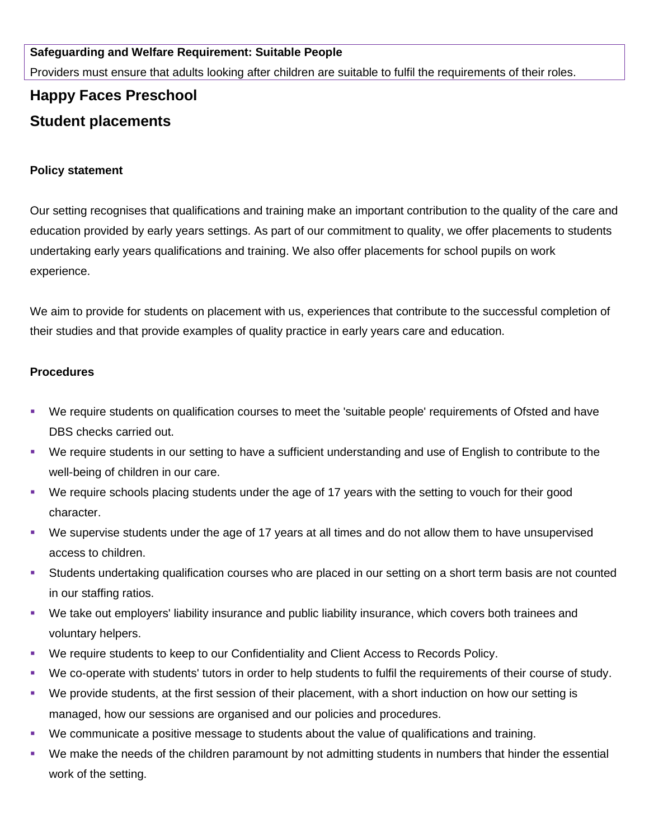## **Safeguarding and Welfare Requirement: Suitable People**

Providers must ensure that adults looking after children are suitable to fulfil the requirements of their roles.

## **Happy Faces Preschool Student placements**

## **Policy statement**

Our setting recognises that qualifications and training make an important contribution to the quality of the care and education provided by early years settings. As part of our commitment to quality, we offer placements to students undertaking early years qualifications and training. We also offer placements for school pupils on work experience.

We aim to provide for students on placement with us, experiences that contribute to the successful completion of their studies and that provide examples of quality practice in early years care and education.

## **Procedures**

- We require students on qualification courses to meet the 'suitable people' requirements of Ofsted and have DBS checks carried out.
- We require students in our setting to have a sufficient understanding and use of English to contribute to the well-being of children in our care.
- We require schools placing students under the age of 17 years with the setting to vouch for their good character.
- We supervise students under the age of 17 years at all times and do not allow them to have unsupervised access to children.
- Students undertaking qualification courses who are placed in our setting on a short term basis are not counted in our staffing ratios.
- We take out employers' liability insurance and public liability insurance, which covers both trainees and voluntary helpers.
- We require students to keep to our Confidentiality and Client Access to Records Policy.
- We co-operate with students' tutors in order to help students to fulfil the requirements of their course of study.
- We provide students, at the first session of their placement, with a short induction on how our setting is managed, how our sessions are organised and our policies and procedures.
- We communicate a positive message to students about the value of qualifications and training.
- We make the needs of the children paramount by not admitting students in numbers that hinder the essential work of the setting.